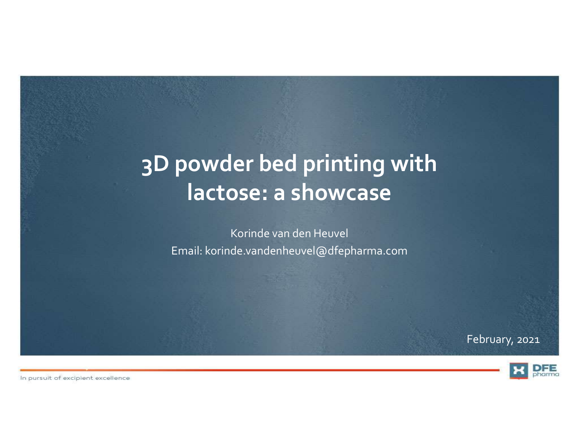# 3D powder bed printing with lactose: a showcase

Korinde van den Heuvel Email: korinde.vandenheuvel@dfepharma.com

February, 2021



In pursuit of excipient excellence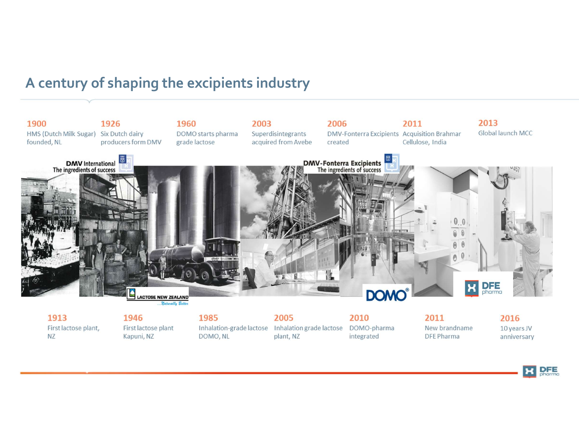## A century of shaping the excipients industry



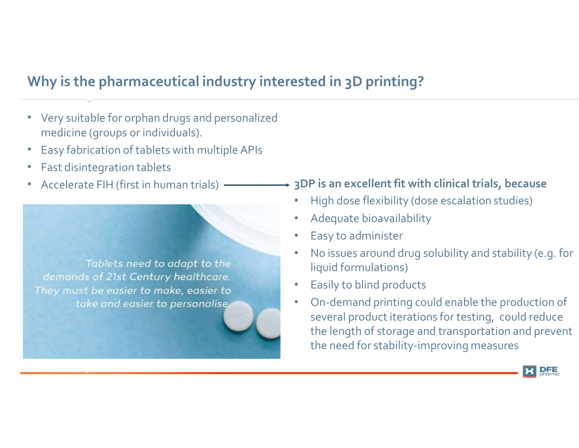# Why is the pharmaceutical industry interested in 3D printing?

- Very suitable for orphan drugs and personalized medicine (groups or individuals).
- Easy fabrication of tablets with multiple APIs
- Fast disintegration tablets
- Accelerate FIH (first in human trials)

Tablets need to adapt to the demands of 21st Century healthcare. They must be easier to make, easier to take and easier to personalise.

#### 3DP is an excellent fit with clinical trials, because

- High dose flexibility (dose escalation studies)
- Adequate bioavailability
- Easy to administer
- No issues around drug solubility and stability (e.g. for liquid formulations)
- Easily to blind products
- On-demand printing could enable the production of several product iterations for testing, could reduce the length of storage and transportation and prevent the need for stability-improving measures

**DFE**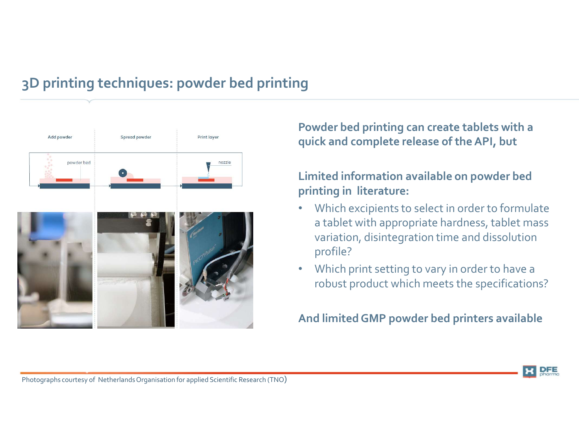# 3D printing techniques: powder bed printing



Powder bed printing can create tablets with a quick and complete release of the API, but

#### Limited information available on powder bed printing in literature:

- Which excipients to select in order to formulate a tablet with appropriate hardness, tablet mass variation, disintegration time and dissolution profile?
- Which print setting to vary in order to have a robust product which meets the specifications?

And limited GMP powder bed printers available

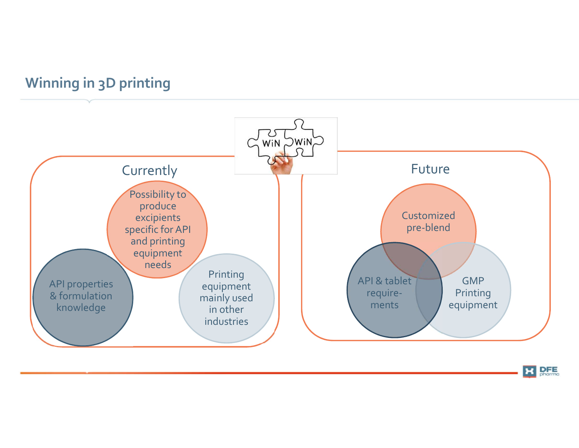# Winning in 3D printing



**X** DFE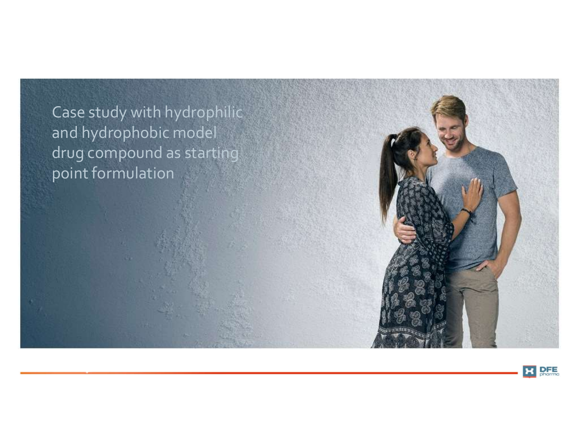Case study with hydrophilic<br>and hydrophobic model<br>drug compound as starting Case study with hydrophilic<br>and hydrophobic model<br>drug compound as starting<br>point formulation drug compound as starting point formulation



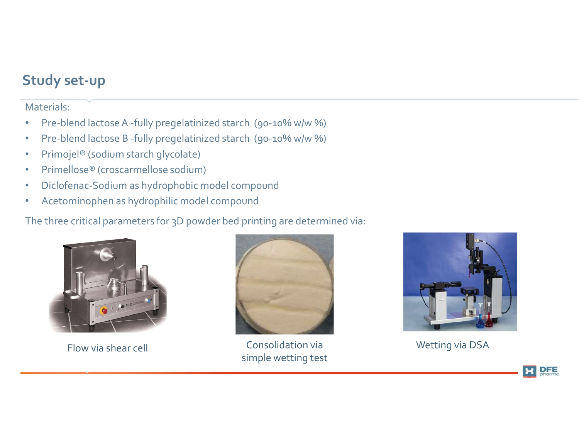## Study set-up

#### Materials:

- Pre-blend lactose A -fully pregelatinized starch (90-10% w/w %)
- Pre-blend lactose B -fully pregelatinized starch (90-10% w/w %)
- Primojel® (sodium starch glycolate)
- Primellose® (croscarmellose sodium)
- Diclofenac-Sodium as hydrophobic model compound
- Acetominophen as hydrophilic model compound

The three critical parameters for 3D powder bed printing are determined via:





Flow via shear cell Consolidation via simple wetting test



Wetting via DSA

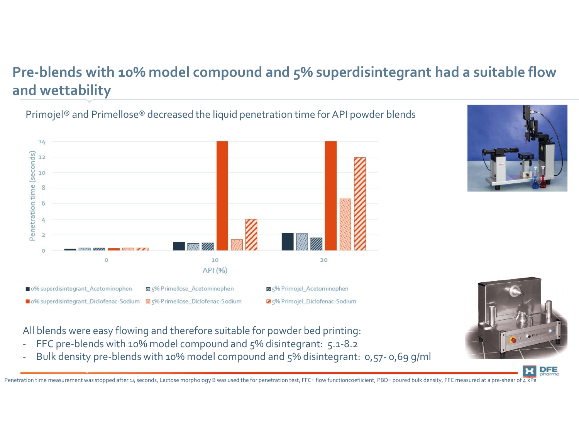# Pre-blends with 10% model compound and 5% superdisintegrant had a suitable flow<br>and wettability<br>Primojel® and Primellose® decreased the liquid penetration time for API powder blends and wettability

#### Primojel® and Primellose® decreased the liquid penetration time for API powder blends





All blends were easy flowing and therefore suitable for powder bed printing:

- 
- 

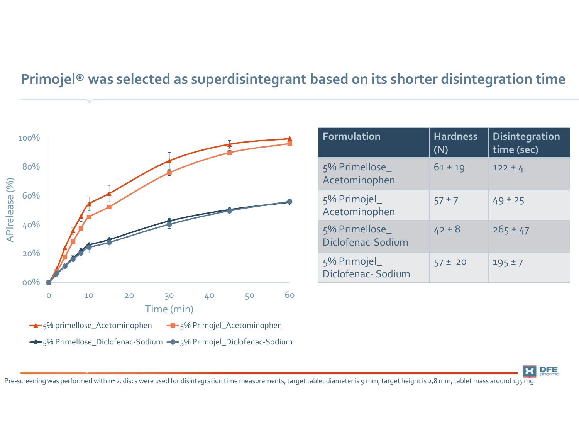# Primojel® was selected as superdisintegrant based on its shorter disintegration time



| ased on its shorter disintegration time |                        |                                     |
|-----------------------------------------|------------------------|-------------------------------------|
|                                         |                        |                                     |
|                                         |                        |                                     |
| Formulation                             | <b>Hardness</b><br>(N) | <b>Disintegration</b><br>time (sec) |
| 5% Primellose_<br>Acetominophen         | $61 \pm 19$            | $122 \pm 4$                         |
| 5% Primojel_<br>Acetominophen           | $57 \pm 7$             | $49 \pm 25$                         |
| 5% Primellose_<br>Diclofenac-Sodium     | $42 \pm 8$             | $265 \pm 47$                        |
| 5% Primojel_<br>Diclofenac-Sodium       | $57 \pm 20$            | $195 \pm 7$                         |
|                                         |                        |                                     |
|                                         |                        |                                     |

**DFE** 

Pre-screening was performed with n=2, discs were used for disintegration time measurements, target tablet diameter is 9 mm, target height is 2,8 mm, tablet mass around 135 mg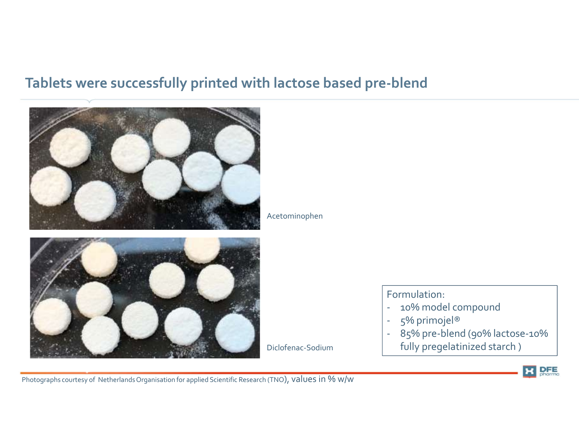# Tablets were successfully printed with lactose based pre-blend



Acetominophen

Formulation:

- 
- 
- Diclofenac-Sodium fully pregelatinized starch )Formulation:<br>- 10% model compound<br>- 5% primojel®<br>- 85% pre-blend (90% lactose-10%<br>- fully pregelatinized starch ) Formulation:<br>
- 10% model compound<br>
- 5% primojel®<br>
- 85% pre-blend (90% lactose-10%<br>
fully pregelatinized starch) Formulation:<br>
- 10% model compound<br>
- 5% primojel®<br>
- 85% pre-blend (90% lactose-10%<br>
fully pregelatinized starch)<br>
- Here Press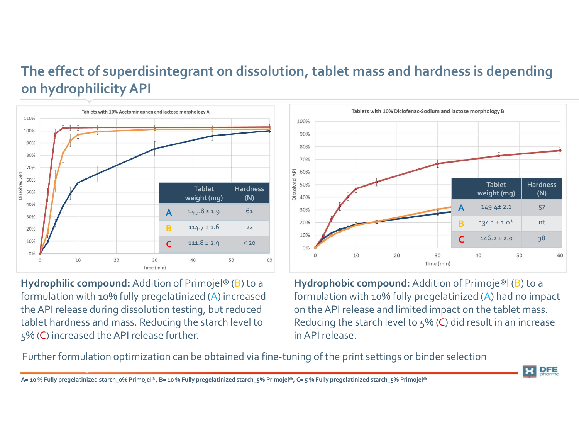# The effect of superdisintegrant on dissolution, tablet mass and hardness is depending<br>on hydrophilicity API<br> $\frac{100\%}{\text{Table 1.006}}$ on hydrophilicity API



formulation with 10% fully pregelatinized (A) increased the API release during dissolution testing, but reduced tablet hardness and mass. Reducing the starch level to 5% (C) increased the API release further.



Hydrophilic compound: Addition of Primojel<sup>®</sup> (B) to a Hydrophobic compound: Addition of Primoje<sup>®</sup>l (B) to a formulation with 10% fully pregelatinized (A) had no impact on the API release and limited impact on the tablet mass. Reducing the starch level to  $5\%$  (C) did result in an increase in API release.

Further formulation optimization can be obtained via fine-tuning of the print settings or binder selection

**DFE**  $\mathbf{H}$ 

A= 10 % Fully pregelatinized starch\_0% Primojel®, B= 10 % Fully pregelatinized starch\_5% Primojel®, C= 5 % Fully pregelatinized starch\_5% Primojel®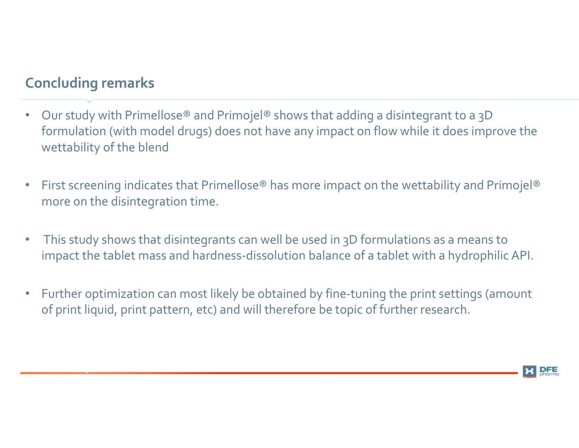# Concluding remarks

- Our study with Primellose® and Primojel® shows that adding a disintegrant to a 3D formulation (with model drugs) does not have any impact on flow while it does improve the wettability of the blend • Our study with Primellose® and Primojel® shows that adding a disintegrant to a 3D<br>• formulation (with model drugs) does not have any impact on flow while it does improve the<br>• wettability of the blend<br>• First screening
- First screening indicates that Primellose® has more impact on the wettability and Primojel® more on the disintegration time.
- impact the tablet mass and hardness-dissolution balance of a tablet with a hydrophilic API.
- Further optimization can most likely be obtained by fine-tuning the print settings (amount of print liquid, print pattern, etc) and will therefore be topic of further research.

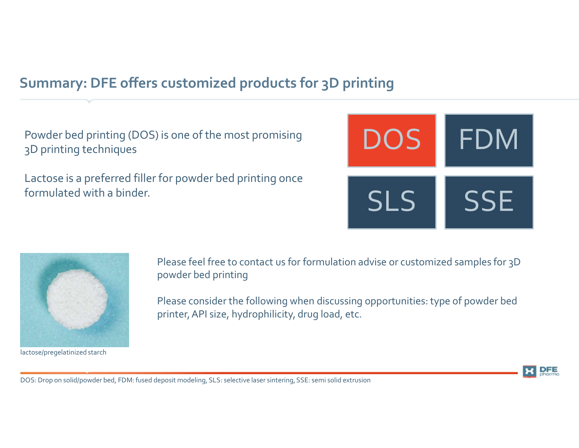# Summary: DFE offers customized products for 3D printing

Powder bed printing (DOS) is one of the most promising 3D printing techniques

Lactose is a preferred filler for powder bed printing once formulated with a binder.





lactose/pregelatinized starch

Please feel free to contact us for formulation advise or customized samples for 3D powder bed printing

Please consider the following when discussing opportunities: type of powder bed printer, API size, hydrophilicity, drug load, etc.



DOS: Drop on solid/powder bed, FDM: fused deposit modeling, SLS: selective laser sintering, SSE: semi solid extrusion